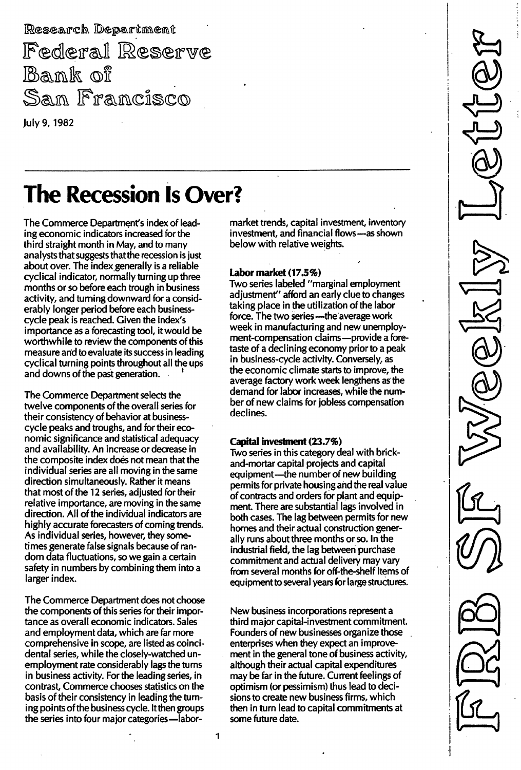Research Department Federal Reserve Bank of San Francisco July 9, 1982

# The Recession Is Over?

The Commerce Department's index of leading economic indicators increased for the third straight month in May, and to many analysts that suggests that the recession is just about over. The index generally is a reliable cyclical indicator, normally turning up three months or so before each trough in business activity, and turning downward for a considerably longer period before each businesscycle peak is reached. Given the index's importance as a forecasting tool, it would be worthwhile to review the components of this measure and to evaluate its success in leading cyclical turning points throughout all the ups and downs of the past generation.

The Commerce Department selects the twelve components of the overall series for their consistency of behavior at businesscycle peaks and troughs, and for their economic significance and statistical adequacy and availability. An increase or decrease in the composite index does not mean that the individual series are all moving in the same direction simultaneously. Rather it means that most of the 12 series, adjusted for their relative importance, are moving in the same direction. All of the individual indicators are highly accurate forecasters of coming trends. As individual series, however, they sometimes generate false signals because of random data fluctuations, so we gain a certain safety in numbers by combining them into a larger index.

The Commerce Department does not choose the components of this series for their importance as overall economic indicators. Sales and employment data, which are far more comprehensive in scope, are listed as coincidental series, while the closely-watched unemployment rate considerably lags the turns in business activity. For the leading series, in contrast, Commerce chooses statistics on the basis of their consistency in leading the turning points of the business cycle. It then groups the series into four major categories-labormarket trends, capital investment, inventory investment, and financial flows-as shown below with relative weights.

### Labor market (17.5%)

Two series labeled "marginal employment adjustment" afford an early clue to changes taking place in the utilization of the labor force. The two series - the average work week in manufacturing and new unemployment-compensation claims-provide a foretaste of a declining economy prior to a peak in business-cycle activity. Conversely, as the economic climate starts to improve, the average factory work week lengthens as the demand for labor increases, while the number of new claims for jobless compensation declines.

#### Capital investment (23.7%)

Two series in this category deal with brickand-mortar capital projects and capital equipment-the number of new building permits for private housing and the real value of contracts and orders for plant and equipment. There are substantial lags involved in both cases. The lag between permits for new homes and their actual construction generally runs about three months or so. In the industrial field, the lag between purchase commitment and actual delivery may vary from several months for off-the-shelf items of equipment to several years for large structures.

New business incorporations represent a third major capital-investment commitment. Founders of new businesses organize those enterprises when they expect an improvement in the general tone of business activity, although their actual capital expenditures may be far in the future. Current feelings of optimism (or pessimism) thus lead to decisions to create new business firms, which then in turn lead to capital commitments at some future date.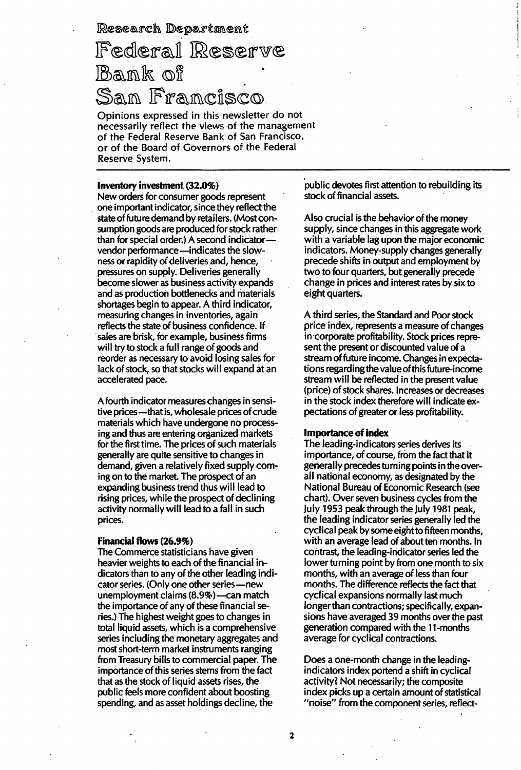Research Department

# Federal Reserve Bank of San Francisco

Opinions expressed in this newsletter do not necessarily reflect the views of the management of the Federal Reserve Bank of San Francisco, or of the Board of Governors of the Federal Reserve System.

#### Inventory investment (32.0%)

New orders for consumer goods represent one important indicator, since they reflect the state of future demand by retailers. (Most consumption goods are produced for stock rather than for special order.) A second indicatorvendor performance -- indicates the slowness or rapidity of deliveries and, hence, pressures on supply. Deliveries generally become slower as business activity expands and as production bottlenecks and materials shortages begin to appear. A third indicator, measuring changes in inventories, again reflects the state of business confidence. If sales are brisk, for example, business firms will try to stock a full range of goods and reorder as necessary to avoid losing sales for lack of stock, so that stocks will expand at an accelerated pace.

A fourth indicator measures changes in sensitive prices-that is, wholesale prices of crude materials which have undergone no processing and thus are entering organized markets for the first time. The prices of such materials generally are quite sensitive to changes in demand, given a relatively fixed supply coming on to the market. The prospect of an expanding business trend thus will lead to rising prices, while the prospect of declining activity normally will lead to a fall in such prices.

#### Financial flows (26.9%)

The Commerce statisticians have given heavier weights to each of the financial indicators than to any of the other leading indicator series. (Only one other series-new unemployment claims (8.9%) -can match the importance of any of these financial series.) The highest weight goes to changes in total liquid assets, which is a comprehensive series including the monetary aggregates and most short-term market instruments ranging from Treasury bills to commercial paper. The importance of this series stems from the fact that as the stock of liquid assets rises, the public feels more confident about boosting spending, and as asset holdings decline, the

public devotes first attention to rebuilding its stock of financial assets.

Also crucial is the behavior of the money supply, since changes in this aggregate work with a variable lag upon the major economic indicators. Money-supply changes generally precede shifts in output and employment by two to four quarters, but generally precede change in prices and interest rates by six to eight quarters.

A third series, the Standard and Poor stock price index, represents a measure of changes in corporate profitability. Stock prices represent the present or discounted value of a stream of future income. Changes in expectations regarding the value of this future-income stream will be reflected in the present value (price) of stock shares. Increases or decreases in the stock index therefore will indicate expectations of greater or less profitability.

#### Importance of index

The leading-indicators series derives its importance, of course, from the fact that it generally precedes turning points in the overall national economy, as designated by the National Bureau of Economic Research (see chart). Over seven business cycles from the July 1953 peak through the July 1981 peak, the leading indicator series generally led the cyclical peak by some eight to fifteen months, with an average lead of about ten months. In contrast, the leading-indicator series ied the lower turning point by from one month to six months, with an average of less than four months. The difference reflects the fact that cyclical expansions normally last much longer than contractions; specifically, expansions have averaged 39 months over the past generation compared with the 1 1-months average for cyclical contractions.

Does a one-month change in the leadingindicators index portend a shift in cyclical activity? Not necessarily; the composite index picks up a certain amount of statistical "noise" from the component series, reflect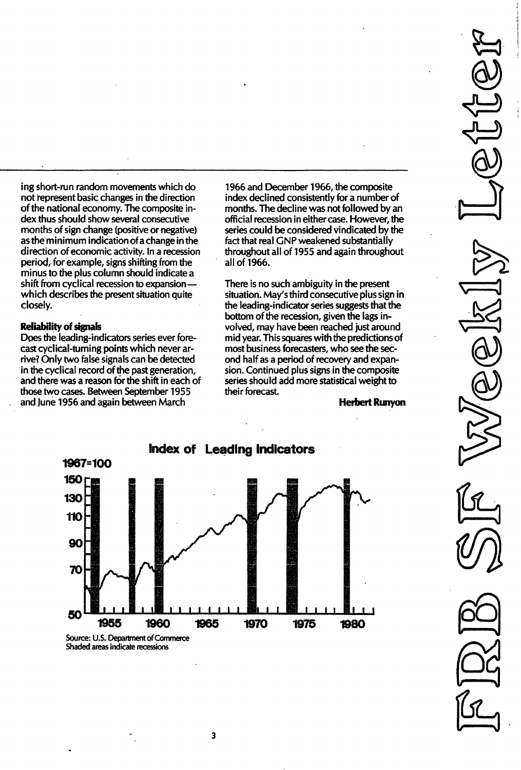ing short-run random movements which do not represent basic changes in the direction of the national economy. The composite index thus should show several consecutive months of sign change (positive or negative) as the minimum indication of a change in the direction of economic activity. In a recession period, for example, signs shifting from the minus to the plus column should indicate a shift from cyclical recession to expansionwhich describes the present situation quite closely.

#### Reliability of signals

Does the leading-indicators series ever forecast cyclical-turning points which never arrive? Only two false signals can be detected in the cyclical record of the past generation, and there was a reason for the shift in each of those two cases. Between September 1955 and June 1956 and again between March

1966 and December 1966, the composite index declined consistently for a number of months. The decline was not followed by an official recession in either case. However, the series could be considered vindicated by the fact that real GNP weakened substantially throughout all of 1955 and again throughout all of 1966.

There is no such ambiguity in the present situation. May's third consecutive plus sign in the leading-indicator series suggests that the bottom of the recession, given the lags involved, may have been reached just around mid year. This squares with the predictions of most business forecasters, who see the second half as a period of recovery and expansion. Continued plus signs in the composite series should add more statistical weight to their forecast.

Herbert Runyon